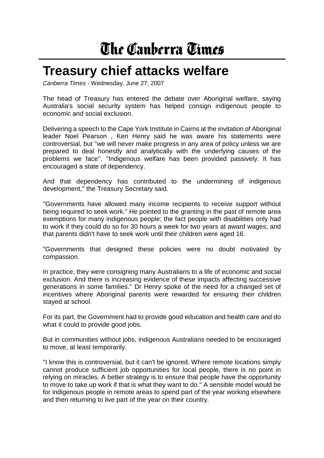## The Canberra Times

## **Treasury chief attacks welfare**

*Canberra Times* - Wednesday, June 27, 2007

The head of Treasury has entered the debate over Aboriginal welfare, saying Australia's social security system has helped consign indigenous people to economic and social exclusion.

Delivering a speech to the Cape York Institute in Cairns at the invitation of Aboriginal leader Noel Pearson , Ken Henry said he was aware his statements were controversial, but ''we will never make progress in any area of policy unless we are prepared to deal honestly and analytically with the underlying causes of the problems we face''. ''Indigenous welfare has been provided passively. It has encouraged a state of dependency.

And that dependency has contributed to the undermining of indigenous development,'' the Treasury Secretary said.

''Governments have allowed many income recipients to receive support without being required to seek work.'' He pointed to the granting in the past of remote area exemptions for many indigenous people; the fact people with disabilities only had to work if they could do so for 30 hours a week for two years at award wages; and that parents didn't have to seek work until their children were aged 16.

''Governments that designed these policies were no doubt motivated by compassion.

In practice, they were consigning many Australians to a life of economic and social exclusion. And there is increasing evidence of these impacts affecting successive generations in some families.'' Dr Henry spoke of the need for a changed set of incentives where Aboriginal parents were rewarded for ensuring their children stayed at school.

For its part, the Government had to provide good education and health care and do what it could to provide good jobs.

But in communities without jobs, indigenous Australians needed to be encouraged to move, at least temporarily.

''I know this is controversial, but it can't be ignored. Where remote locations simply cannot produce sufficient job opportunities for local people, there is no point in relying on miracles. A better strategy is to ensure that people have the opportunity to move to take up work if that is what they want to do.'' A sensible model would be for indigenous people in remote areas to spend part of the year working elsewhere and then returning to live part of the year on their country.